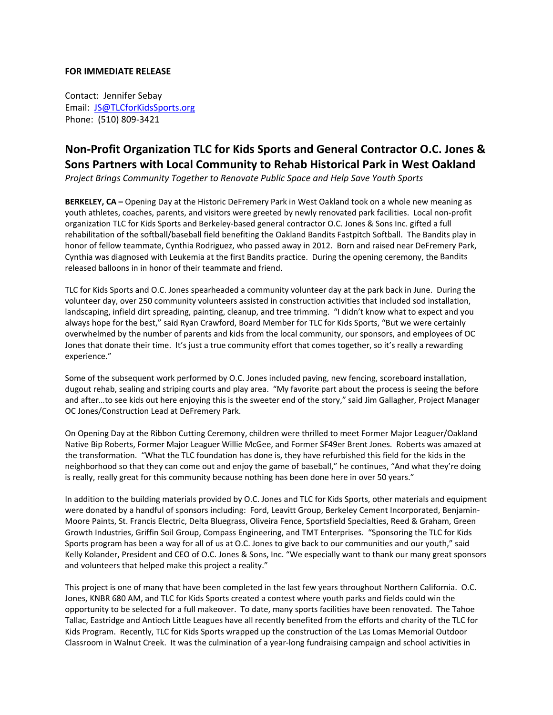# **FOR IMMEDIATE RELEASE**

Contact: Jennifer Sebay Email: JS@TLCforKidsSports.org Phone: (510) 809‐3421

# **Non‐Profit Organization TLC for Kids Sports and General Contractor O.C. Jones & Sons Partners with Local Community to Rehab Historical Park in West Oakland**

*Project Brings Community Together to Renovate Public Space and Help Save Youth Sports*

**BERKELEY, CA –** Opening Day at the Historic DeFremery Park in West Oakland took on a whole new meaning as youth athletes, coaches, parents, and visitors were greeted by newly renovated park facilities. Local non‐profit organization TLC for Kids Sports and Berkeley‐based general contractor O.C. Jones & Sons Inc. gifted a full rehabilitation of the softball/baseball field benefiting the Oakland Bandits Fastpitch Softball. The Bandits play in honor of fellow teammate, Cynthia Rodriguez, who passed away in 2012. Born and raised near DeFremery Park, Cynthia was diagnosed with Leukemia at the first Bandits practice. During the opening ceremony, the Bandits released balloons in in honor of their teammate and friend.

TLC for Kids Sports and O.C. Jones spearheaded a community volunteer day at the park back in June. During the volunteer day, over 250 community volunteers assisted in construction activities that included sod installation, landscaping, infield dirt spreading, painting, cleanup, and tree trimming. "I didn't know what to expect and you always hope for the best," said Ryan Crawford, Board Member for TLC for Kids Sports, "But we were certainly overwhelmed by the number of parents and kids from the local community, our sponsors, and employees of OC Jones that donate their time. It's just a true community effort that comes together, so it's really a rewarding experience."

Some of the subsequent work performed by O.C. Jones included paving, new fencing, scoreboard installation, dugout rehab, sealing and striping courts and play area. "My favorite part about the process is seeing the before and after…to see kids out here enjoying this is the sweeter end of the story," said Jim Gallagher, Project Manager OC Jones/Construction Lead at DeFremery Park.

On Opening Day at the Ribbon Cutting Ceremony, children were thrilled to meet Former Major Leaguer/Oakland Native Bip Roberts, Former Major Leaguer Willie McGee, and Former SF49er Brent Jones. Roberts was amazed at the transformation. "What the TLC foundation has done is, they have refurbished this field for the kids in the neighborhood so that they can come out and enjoy the game of baseball," he continues, "And what they're doing is really, really great for this community because nothing has been done here in over 50 years."

In addition to the building materials provided by O.C. Jones and TLC for Kids Sports, other materials and equipment were donated by a handful of sponsors including: Ford, Leavitt Group, Berkeley Cement Incorporated, Benjamin‐ Moore Paints, St. Francis Electric, Delta Bluegrass, Oliveira Fence, Sportsfield Specialties, Reed & Graham, Green Growth Industries, Griffin Soil Group, Compass Engineering, and TMT Enterprises. "Sponsoring the TLC for Kids Sports program has been a way for all of us at O.C. Jones to give back to our communities and our youth," said Kelly Kolander, President and CEO of O.C. Jones & Sons, Inc. "We especially want to thank our many great sponsors and volunteers that helped make this project a reality."

This project is one of many that have been completed in the last few years throughout Northern California. O.C. Jones, KNBR 680 AM, and TLC for Kids Sports created a contest where youth parks and fields could win the opportunity to be selected for a full makeover. To date, many sports facilities have been renovated. The Tahoe Tallac, Eastridge and Antioch Little Leagues have all recently benefited from the efforts and charity of the TLC for Kids Program. Recently, TLC for Kids Sports wrapped up the construction of the Las Lomas Memorial Outdoor Classroom in Walnut Creek. It was the culmination of a year‐long fundraising campaign and school activities in